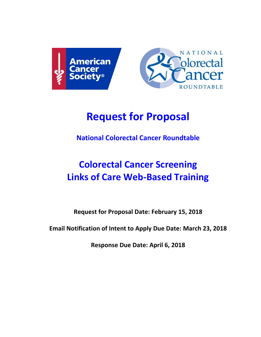



# **Request for Proposal**

**National Colorectal Cancer Roundtable**

# **Colorectal Cancer Screening Links of Care Web-Based Training**

**Request for Proposal Date: February 15, 2018**

**Email Notification of Intent to Apply Due Date: March 23, 2018**

**Response Due Date: April 6, 2018**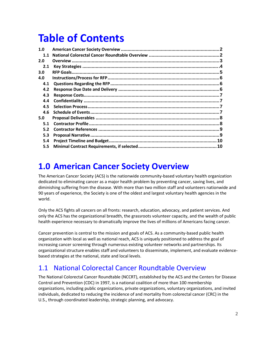# **Table of Contents**

| 1.0 |  |
|-----|--|
| 1.1 |  |
| 2.0 |  |
| 2.1 |  |
| 3.0 |  |
| 4.0 |  |
| 4.1 |  |
| 4.2 |  |
| 4.3 |  |
| 4.4 |  |
| 4.5 |  |
| 4.6 |  |
| 5.0 |  |
| 5.1 |  |
| 5.2 |  |
| 5.3 |  |
| 5.4 |  |
| 5.5 |  |

### <span id="page-1-0"></span>**1.0 American Cancer Society Overview**

The American Cancer Society (ACS) is the nationwide community-based voluntary health organization dedicated to eliminating cancer as a major health problem by preventing cancer, saving lives, and diminishing suffering from the disease. With more than two million staff and volunteers nationwide and 90 years of experience, the Society is one of the oldest and largest voluntary health agencies in the world.

Only the ACS fights all cancers on all fronts: research, education, advocacy, and patient services. And only the ACS has the organizational breadth, the grassroots volunteer capacity, and the wealth of public health experience necessary to dramatically improve the lives of millions of Americans facing cancer.

Cancer prevention is central to the mission and goals of ACS. As a community-based public health organization with local as well as national reach, ACS is uniquely positioned to address the goal of increasing cancer screening through numerous existing volunteer networks and partnerships. Its organizational structure enables staff and volunteers to disseminate, implement, and evaluate evidencebased strategies at the national, state and local levels.

#### 1.1 National Colorectal Cancer Roundtable Overview

The National Colorectal Cancer Roundtable (NCCRT), established by the ACS and the Centers for Disease Control and Prevention (CDC) in 1997, is a national coalition of more than 100 membership organizations, including public organizations, private organizations, voluntary organizations, and invited individuals, dedicated to reducing the incidence of and mortality from colorectal cancer (CRC) in the U.S., through coordinated leadership, strategic planning, and advocacy.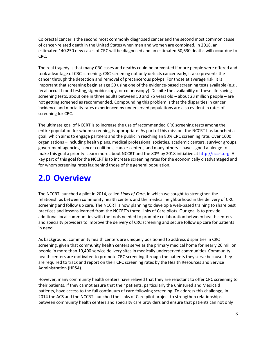Colorectal cancer is the second most commonly diagnosed cancer and the second most common cause of cancer-related death in the United States when men and women are combined. In 2018, an estimated 140,250 new cases of CRC will be diagnosed and an estimated 50,630 deaths will occur due to CRC.

The real tragedy is that many CRC cases and deaths could be prevented if more people were offered and took advantage of CRC screening. CRC screening not only detects cancer early, it also prevents the cancer through the detection and removal of precancerous polyps. For those at average risk, it is important that screening begin at age 50 using one of the evidence-based screening tests available (e.g., fecal occult blood testing, sigmoidoscopy, or colonoscopy). Despite the availability of these life-saving screening tests, about one in three adults between 50 and 75 years old – about 23 million people – are not getting screened as recommended. Compounding this problem is that the disparities in cancer incidence and mortality rates experienced by underserved populations are also evident in rates of screening for CRC.

The ultimate goal of NCCRT is to increase the use of recommended CRC screening tests among the entire population for whom screening is appropriate. As part of this mission, the NCCRT has launched a goal, which aims to engage partners and the public in reaching an 80% CRC screening rate. Over 1600 organizations – including health plans, medical professional societies, academic centers, survivor groups, government agencies, cancer coalitions, cancer centers, and many others – have signed a pledge to make this goal a priority. Learn more about NCCRT and the 80% by 2018 initiative a[t http://nccrt.org.](http://nccrt.org/) A key part of this goal for the NCCRT is to increase screening rates for the economically disadvantaged and for whom screening rates lag behind those of the general population.

## **2.0 Overview**

The NCCRT launched a pilot in 2014, called *Links of Care*, in which we sought to strengthen the relationships between community health centers and the medical neighborhood in the delivery of CRC screening and follow up care. The NCCRT is now planning to develop a web-based training to share best practices and lessons learned from the NCCRT's three Links of Care pilots. Our goal is to provide additional local communities with the tools needed to promote collaboration between health centers and specialty providers to improve the delivery of CRC screening and secure follow up care for patients in need.

As background, community health centers are uniquely positioned to address disparities in CRC screening, given that community health centers serve as the primary medical home for nearly 26 million people in more than 10,400 service delivery sites in medically underserved communities. Community health centers are motivated to promote CRC screening through the patients they serve because they are required to track and report on their CRC screening rates by the Health Resources and Service Administration (HRSA).

However, many community health centers have relayed that they are reluctant to offer CRC screening to their patients, if they cannot assure that their patients, particularly the uninsured and Medicaid patients, have access to the full continuum of care following screening. To address this challenge, in 2014 the ACS and the NCCRT launched the Links of Care pilot project to strengthen relationships between community health centers and specialty care providers and ensure that patients can not only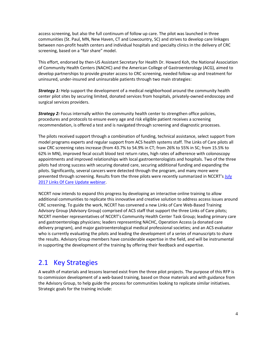access screening, but also the full continuum of follow up care. The pilot was launched in three communities (St. Paul, MN, New Haven, CT and Lowcountry, SC) and strives to develop care linkages between non-profit health centers and individual hospitals and specialty clinics in the delivery of CRC screening, based on a "fair share" model.

This effort, endorsed by then-US Assistant Secretary for Health Dr. Howard Koh, the National Association of Community Health Centers (NACHC) and the American College of Gastroenterology (ACG), aimed to develop partnerships to provide greater access to CRC screening, needed follow-up and treatment for uninsured, under-insured and uninsurable patients through two main strategies:

*Strategy 1:* Help support the development of a medical neighborhood around the community health center pilot sites by securing limited, donated services from hospitals, privately-owned endoscopy and surgical services providers.

*Strategy 2:* Focus internally within the community health center to strengthen office policies, procedures and protocols to ensure every age and risk eligible patient receives a screening recommendation, is offered a test and is navigated through screening and diagnostic processes.

The pilots received support through a combination of funding, technical assistance, select support from model programs experts and regular support from ACS health systems staff. The Links of Care pilots all saw CRC screening rates increase (from 43.7% to 54.9% in CT; from 26% to 55% in SC; from 15.5% to 62% in MN), improved fecal occult blood test return rates, high rates of adherence with colonoscopy appointments and improved relationships with local gastroenterologists and hospitals. Two of the three pilots had strong success with securing donated care, securing additional funding and expanding the pilots. Significantly, several cancers were detected through the program, and many more were prevented through screening. Results from the three pilots were recently summarized in NCCRT's July [2017 Links Of Care Update webinar.](http://nccrt.org/resource/links-care-update-july-27-2017/)

NCCRT now intends to expand this progress by developing an interactive online training to allow additional communities to replicate this innovative and creative solution to address access issues around CRC screening. To guide the work, NCCRT has convened a new Links of Care Web-Based Training Advisory Group (Advisory Group) comprised of ACS staff that support the three Links of Care pilots; NCCRT member representatives of NCCRT's Community Health Center Task Group; leading primary care and gastroenterology physicians; leaders representing NACHC, Operation Access (a donated care delivery program), and major gastroenterological medical professional societies; and an ACS evaluator who is currently evaluating the pilots and leading the development of a series of manuscripts to share the results. Advisory Group members have considerable expertise in the field, and will be instrumental in supporting the development of the training by offering their feedback and expertise.

#### 2.1 Key Strategies

A wealth of materials and lessons learned exist from the three pilot projects. The purpose of this RFP is to commission development of a web-based training, based on those materials and with guidance from the Advisory Group, to help guide the process for communities looking to replicate similar initiatives. Strategic goals for the training include: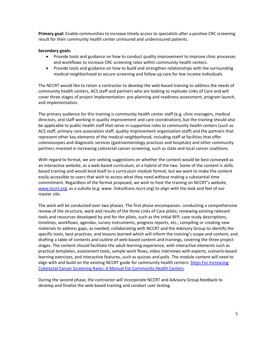**Primary goal:** Enable communities to increase timely access to specialists after a positive CRC screening result for their community health center uninsured and underinsured patients.

#### **Secondary goals:**

- Provide tools and guidance on how to conduct quality improvement to improve clinic processes and workflows to increase CRC screening rates within community health centers.
- Provide tools and guidance on how to build and strengthen relationships with the surrounding medical neighborhood to secure screening and follow up care for low income individuals.

The NCCRT would like to retain a contractor to develop the web-based training to address the needs of community health centers, ACS staff and partners who are looking to replicate Links of Care and will cover three stages of project implementation: pre-planning and readiness assessment, program launch, and implementation.

The primary audience for this training is community health center staff (e.g. clinic managers, medical directors, and staff working in quality improvement and care coordination), but the training should also be applicable to public health staff that serve in supportive roles to community health centers (such as ACS staff, primary care association staff, quality improvement organization staff) and the partners that represent other key elements of the medical neighborhood, including staff at facilities that offer colonoscopies and diagnostic services (gastroenterology practices and hospitals) and other community partners invested in increasing colorectal cancer screening, such as state and local cancer coalitions.

With regard to format, we are seeking suggestions on whether the content would be best conveyed as an interactive website, as a web-based curriculum, or a hybrid of the two. Some of the content is skillsbased training and would lend itself to a curriculum module format, but we want to make the content easily accessible to users that wish to access what they need without making a substantial time commitment. Regardless of the format proposed, we wish to host the training on NCCRT's website, [www.nccrt.org,](http://www.nccrt.org/) as a subsite (e.g. www. linksofcare.nccrt.org) to align with the look and feel of our master site.

The work will be conducted over two phases. The first phase encompasses: conducting a comprehensive review of the structure, work and results of the three Links of Care pilots; reviewing existing relevant tools and resources developed by and for the pilots, such as the initial RFP, case study descriptions, timelines, workflows, agendas, survey instruments, progress reports, etc.; compiling or creating new materials to address gaps, as needed; collaborating with NCCRT and the Advisory Group to identify the specific tools, best practices, and lessons learned which will inform the training's scope and content; and drafting a table of contents and outline of web-based content and trainings, covering the three project stages. The content should facilitate the adult learning experience, with interactive elements such as practical templates, assessment tools, sample work flows, video interviews with experts, scenario-based learning exercises, and interactive features, such as quizzes and polls. The module content will need to align with and build on the existing NCCRT guide for community health centers: Steps For Increasing [Colorectal Cancer Screening Rates: A Manual For Community Health Centers](http://nccrt.org/resource/steps-increasing-colorectal-cancer-screening-rates-manual-community-health-centers-2/)*.*

During the second phase, the contractor will incorporate NCCRT and Advisory Group feedback to develop and finalize the web-based training and conduct user testing.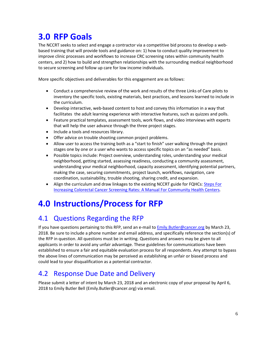## <span id="page-5-0"></span>**3.0 RFP Goals**

The NCCRT seeks to select and engage a contractor via a competitive bid process to develop a webbased training that will provide tools and guidance on: 1) how to conduct quality improvement to improve clinic processes and workflows to increase CRC screening rates within community health centers, and 2) how to build and strengthen relationships with the surrounding medical neighborhood to secure screening and follow up care for low income individuals.

More specific objectives and deliverables for this engagement are as follows:

- Conduct a comprehensive review of the work and results of the three Links of Care pilots to inventory the specific tools, existing materials, best practices, and lessons learned to include in the curriculum.
- Develop interactive, web-based content to host and convey this information in a way that facilitates the adult learning experience with interactive features, such as quizzes and polls.
- Feature practical templates, assessment tools, work flows, and video interviews with experts that will help the user advance through the three project stages.
- Include a tools and resources library.
- Offer advice on trouble shooting common project problems.
- Allow user to access the training both as a "start to finish" user walking through the project stages one by one or a user who wants to access specific topics on an "as needed" basis.
- Possible topics include: Project overview, understanding roles, understanding your medical neighborhood, getting started, assessing readiness, conducting a community assessment, understanding your medical neighborhood, capacity assessment, identifying potential partners, making the case, securing commitments, project launch, workflows, navigation, care coordination, sustainability, trouble shooting, sharing credit, and expansion.
- Align the curriculum and draw linkages to the existing NCCRT guide for FQHCs: [Steps For](http://nccrt.org/resource/steps-increasing-colorectal-cancer-screening-rates-manual-community-health-centers-2/)  [Increasing Colorectal Cancer Screening Rates: A Manual For Community Health Centers](http://nccrt.org/resource/steps-increasing-colorectal-cancer-screening-rates-manual-community-health-centers-2/)*.*

## <span id="page-5-1"></span>**4.0 Instructions/Process for RFP**

### <span id="page-5-2"></span>4.1 Questions Regarding the RFP

If you have questions pertaining to this RFP, send an e-mail to *[Emily.Butler@cancer.org](mailto:Emily.Butler@cancer.org)* by March 23, 2018. Be sure to include a phone number and email address, and specifically reference the section(s) of the RFP in question. All questions must be in writing. Questions and answers may be given to all applicants in order to avoid any unfair advantage. These guidelines for communications have been established to ensure a fair and equitable evaluation process for all respondents. Any attempt to bypass the above lines of communication may be perceived as establishing an unfair or biased process and could lead to your disqualification as a potential contractor.

### <span id="page-5-3"></span>4.2 Response Due Date and Delivery

Please submit a letter of intent by March 23, 2018 and an electronic copy of your proposal by April 6, 2018 to Emily Butler Bell (Emily.Butler@cancer.org) via email.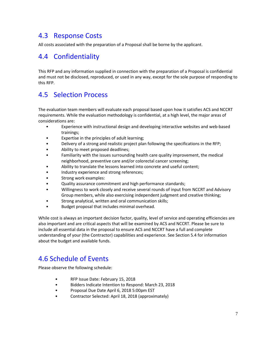### <span id="page-6-0"></span>4.3 Response Costs

All costs associated with the preparation of a Proposal shall be borne by the applicant.

#### <span id="page-6-1"></span>4.4 Confidentiality

This RFP and any information supplied in connection with the preparation of a Proposal is confidential and must not be disclosed, reproduced, or used in any way, except for the sole purpose of responding to this RFP.

#### <span id="page-6-2"></span>4.5 Selection Process

The evaluation team members will evaluate each proposal based upon how it satisfies ACS and NCCRT requirements. While the evaluation methodology is confidential, at a high level, the major areas of considerations are:

- Experience with instructional design and developing interactive websites and web-based trainings;
- Expertise in the principles of adult learning;
- Delivery of a strong and realistic project plan following the specifications in the RFP;
- Ability to meet proposed deadlines;
- Familiarity with the issues surrounding health care quality improvement, the medical neighborhood, preventive care and/or colorectal cancer screening;
- Ability to translate the lessons learned into concrete and useful content;
- Industry experience and strong references;
- Strong work examples:
- Quality assurance commitment and high performance standards;
- Willingness to work closely and receive several rounds of input from NCCRT and Advisory Group members, while also exercising independent judgment and creative thinking;
- Strong analytical, written and oral communication skills;
- Budget proposal that includes minimal overhead.

While cost is always an important decision factor, quality, level of service and operating efficiencies are also important and are critical aspects that will be examined by ACS and NCCRT. Please be sure to include all essential data in the proposal to ensure ACS and NCCRT have a full and complete understanding of your (the Contractor) capabilities and experience. See Section 5.4 for information about the budget and available funds.

#### <span id="page-6-3"></span>4.6 Schedule of Events

Please observe the following schedule:

- RFP Issue Date: February 15, 2018
- Bidders Indicate Intention to Respond: March 23, 2018
- Proposal Due Date April 6, 2018 5:00pm EST
- Contractor Selected: April 18, 2018 (approximately)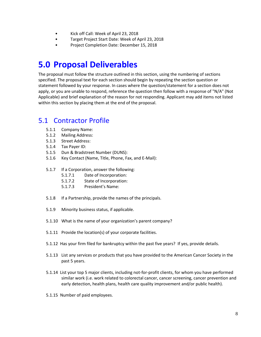- Kick off Call: Week of April 23, 2018
- Target Project Start Date: Week of April 23, 2018
- Project Completion Date: December 15, 2018

## <span id="page-7-0"></span>**5.0 Proposal Deliverables**

The proposal must follow the structure outlined in this section, using the numbering of sections specified. The proposal text for each section should begin by repeating the section question or statement followed by your response. In cases where the question/statement for a section does not apply, or you are unable to respond, reference the question then follow with a response of "N/A" (Not Applicable) and brief explanation of the reason for not responding. Applicant may add items not listed within this section by placing them at the end of the proposal.

#### <span id="page-7-1"></span>5.1 Contractor Profile

- 5.1.1 Company Name:
- 5.1.2 Mailing Address:
- 5.1.3 Street Address:
- 5.1.4 Tax Payer ID:
- 5.1.5 Dun & Bradstreet Number (DUNS):
- 5.1.6 Key Contact (Name, Title, Phone, Fax, and E-Mail):
- 5.1.7 If a Corporation, answer the following:
	- 5.1.7.1 Date of Incorporation:
	- 5.1.7.2 State of Incorporation:
	- 5.1.7.3 President's Name:
- 5.1.8 If a Partnership, provide the names of the principals.
- 5.1.9 Minority business status, if applicable.
- 5.1.10 What is the name of your organization's parent company?
- 5.1.11 Provide the location(s) of your corporate facilities.
- 5.1.12 Has your firm filed for bankruptcy within the past five years? If yes, provide details.
- 5.1.13 List any services or products that you have provided to the American Cancer Society in the past 5 years.
- 5.1.14 List your top 5 major clients, including not-for-profit clients, for whom you have performed similar work (i.e. work related to colorectal cancer, cancer screening, cancer prevention and early detection, health plans, health care quality improvement and/or public health).
- 5.1.15 Number of paid employees.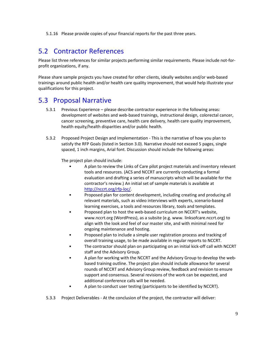5.1.16 Please provide copies of your financial reports for the past three years.

### <span id="page-8-0"></span>5.2 Contractor References

Please list three references for similar projects performing similar requirements. Please include not-forprofit organizations, if any.

Please share sample projects you have created for other clients, ideally websites and/or web-based trainings around public health and/or health care quality improvement, that would help illustrate your qualifications for this project.

#### <span id="page-8-1"></span>5.3 Proposal Narrative

- 5.3.1 Previous Experience please describe contractor experience in the following areas: development of websites and web-based trainings, instructional design, colorectal cancer, cancer screening, preventive care, health care delivery, health care quality improvement, health equity/health disparities and/or public health.
- 5.3.2 Proposed Project Design and Implementation This is the narrative of how you plan to satisfy the RFP Goals (listed in Section 3.0). Narrative should not exceed 5 pages, single spaced, 1 inch margins, Arial font. Discussion should include the following areas:

The project plan should include:

- A plan to review the Links of Care pilot project materials and inventory relevant tools and resources. (ACS and NCCRT are currently conducting a formal evaluation and drafting a series of manuscripts which will be available for the contractor's review.) An initial set of sample materials is available at [http://nccrt.org/rfp-loc/.](http://nccrt.org/rfp-loc/)
- Proposed plan for content development, including creating and producing all relevant materials, such as video interviews with experts, scenario-based learning exercises, a tools and resources library, tools and templates.
- Proposed plan to host the web-based curriculum on NCCRT's website, www.nccrt.org (WordPress), as a subsite (e.g. www. linksofcare.nccrt.org) to align with the look and feel of our master site, and with minimal need for ongoing maintenance and hosting.
- Proposed plan to include a simple user registration process and tracking of overall training usage, to be made available in regular reports to NCCRT.
- The contractor should plan on participating on an initial kick-off call with NCCRT staff and the Advisory Group.
- A plan for working with the NCCRT and the Advisory Group to develop the webbased training outline. The project plan should include allowance for several rounds of NCCRT and Advisory Group review, feedback and revision to ensure support and consensus. Several revisions of the work can be expected, and additional conference calls will be needed.
- A plan to conduct user testing (participants to be identified by NCCRT).
- 5.3.3 Project Deliverables At the conclusion of the project, the contractor will deliver: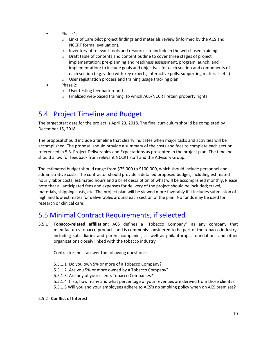- Phase 1:
	- $\circ$  Links of Care pilot project findings and materials review (informed by the ACS and NCCRT formal evaluation).
	- o Inventory of relevant tools and resources to include in the web-based training.
	- o Draft table of contents and content outline to cover three stages of project implementation: pre-planning and readiness assessment, program launch, and implementation; to include goals and objectives for each section and components of each section (e.g. video with key experts, interactive polls, supporting materials etc.)
	- o User registration process and training usage tracking plan.
- Phase 2:
	- o User testing feedback report.
	- o Finalized web-based training, to which ACS/NCCRT retain property rights.

#### <span id="page-9-0"></span>5.4 Project Timeline and Budget

The target start date for the project is April 23, 2018. The final curriculum should be completed by December 15, 2018.

The proposal should include a timeline that clearly indicates when major tasks and activities will be accomplished. The proposal should provide a summary of the costs and fees to complete each section referenced in 5.3. Project Deliverables and Expectations as presented in the project plan. The timeline should allow for feedback from relevant NCCRT staff and the Advisory Group.

The estimated budget should range from \$75,000 to \$100,000, which should include personnel and administrative costs. The contractor should provide a detailed proposed budget, including estimated hourly labor costs, estimated hours and a brief description of what will be accomplished monthly. Please note that all anticipated fees and expenses for delivery of the project should be included; travel, materials, shipping costs, etc. The project plan will be viewed more favorably if it includes submission of high and low estimates for deliverables around each section of the plan. No funds may be used for research or clinical care.

#### <span id="page-9-1"></span>5.5 Minimal Contract Requirements, if selected

5.5.1 **Tobacco-related affiliation:** ACS defines a "Tobacco Company" as any company that manufactures tobacco products and is commonly considered to be part of the tobacco industry, including subsidiaries and parent companies, as well as philanthropic foundations and other organizations closely linked with the tobacco industry

Contractor must answer the following questions:

- 5.5.1.1 Do you own 5% or more of a Tobacco Company?
- 5.5.1.2 Are you 5% or more owned by a Tobacco Company?
- 5.5.1.3 Are any of your clients Tobacco Companies?
- 5.5.1.4 If so, how many and what percentage of your revenues are derived from those clients?
- 5.5.1.5 Will you and your employees adhere to ACS's no smoking policy when on ACS premises?

#### 5.5.2 **Conflict of Interest**: